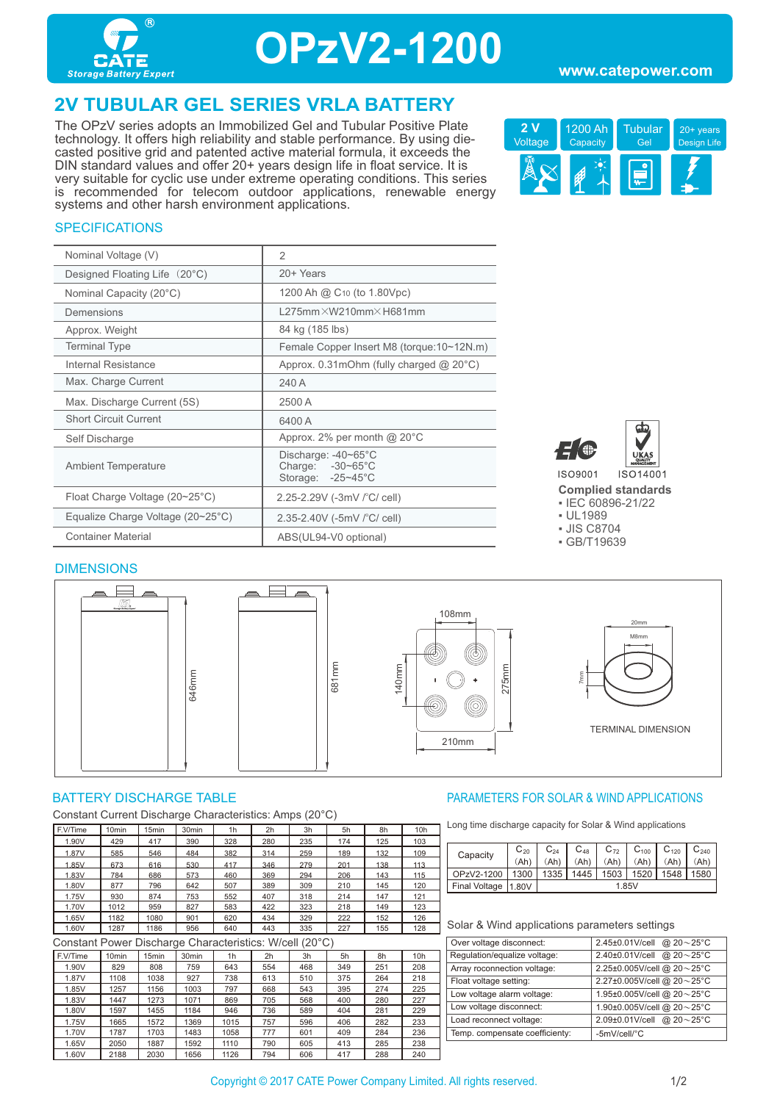

## **OPzV2-1200**

### **2V TUBULAR GEL SERIES VRLA BATTERY**

The OPzV series adopts an Immobilized Gel and Tubular Positive Plate technology. It offers high reliability and stable performance. By using diecasted positive grid and patented active material formula, it exceeds the DIN standard values and offer 20+ years design life in float service. It is very suitable for cyclic use under extreme operating conditions. This series is recommended for telecom outdoor applications, renewable energy systems and other harsh environment applications.



### **SPECIFICATIONS**

| Nominal Voltage (V)                               | $\overline{2}$                                                                   |
|---------------------------------------------------|----------------------------------------------------------------------------------|
| Designed Floating Life (20°C)                     | 20+ Years                                                                        |
| Nominal Capacity (20°C)                           | 1200 Ah @ C <sub>10</sub> (to 1.80Vpc)                                           |
| Demensions                                        | $L275$ mm $\times$ W210mm $\times$ H681mm                                        |
| Approx. Weight                                    | 84 kg (185 lbs)                                                                  |
| <b>Terminal Type</b>                              | Female Copper Insert M8 (torque: 10~12N.m)                                       |
| Internal Resistance                               | Approx. $0.31$ mOhm (fully charged $@$ 20 $°C$ )                                 |
| Max. Charge Current                               | 240 A                                                                            |
| Max. Discharge Current (5S)                       | 2500 A                                                                           |
| <b>Short Circuit Current</b>                      | 6400 A                                                                           |
| Self Discharge                                    | Approx. 2% per month $@$ 20 $°C$                                                 |
| <b>Ambient Temperature</b>                        | Discharge: $-40-65^{\circ}$ C<br>Charge: $-30-65^{\circ}$ C<br>Storage: -25~45°C |
| Float Charge Voltage $(20~25^{\circ}C)$           | 2.25-2.29V (-3mV /°C/ cell)                                                      |
| Equalize Charge Voltage $(20~25~{\rm ^{\circ}C})$ | 2.35-2.40V (-5mV $\degree$ C/ cell)                                              |
| <b>Container Material</b>                         | ABS(UL94-V0 optional)                                                            |



**Complied standards** 

▪ IEC 60896-21/22

▪ UL1989

▪ JIS C8704

▪ GB/T19639

#### **DIMENSIONS**



Constant Current Discharge Characteristics: Amps (20°C)

| F.V/Time | 10 <sub>min</sub> | 5 <sub>min</sub> | 30 <sub>min</sub> | 1 <sub>h</sub> | 2h  | 3h  | 5h  | 8h  | 10 <sub>h</sub> |
|----------|-------------------|------------------|-------------------|----------------|-----|-----|-----|-----|-----------------|
| 1.90V    | 429               | 417              | 390               | 328            | 280 | 235 | 174 | 125 | 103             |
| 1.87V    | 585               | 546              | 484               | 382            | 314 | 259 | 189 | 132 | 109             |
| 1.85V    | 673               | 616              | 530               | 417            | 346 | 279 | 201 | 138 | 113             |
| 1.83V    | 784               | 686              | 573               | 460            | 369 | 294 | 206 | 143 | 115             |
| 1.80V    | 877               | 796              | 642               | 507            | 389 | 309 | 210 | 145 | 120             |
| 1.75V    | 930               | 874              | 753               | 552            | 407 | 318 | 214 | 147 | 121             |
| 1.70V    | 1012              | 959              | 827               | 583            | 422 | 323 | 218 | 149 | 123             |
| 1.65V    | 1182              | 1080             | 901               | 620            | 434 | 329 | 222 | 152 | 126             |
| 1.60V    | 1287              | 1186             | 956               | 640            | 443 | 335 | 227 | 155 | 128             |

Constant Power Discharge Characteristics: W/cell (20°C)

| F.V/Time | 10 <sub>min</sub> | 15 <sub>min</sub> | 30 <sub>min</sub> | 1h   | 2h  | 3h  | 5h  | 8h  | 10h |
|----------|-------------------|-------------------|-------------------|------|-----|-----|-----|-----|-----|
| 1.90V    | 829               | 808               | 759               | 643  | 554 | 468 | 349 | 251 | 208 |
| 1.87V    | 1108              | 1038              | 927               | 738  | 613 | 510 | 375 | 264 | 218 |
| 1.85V    | 1257              | 1156              | 1003              | 797  | 668 | 543 | 395 | 274 | 225 |
| 1.83V    | 1447              | 1273              | 1071              | 869  | 705 | 568 | 400 | 280 | 227 |
| 1.80V    | 1597              | 1455              | 1184              | 946  | 736 | 589 | 404 | 281 | 229 |
| 1.75V    | 1665              | 1572              | 1369              | 1015 | 757 | 596 | 406 | 282 | 233 |
| 1.70V    | 1787              | 1703              | 1483              | 1058 | 777 | 601 | 409 | 284 | 236 |
| 1.65V    | 2050              | 1887              | 1592              | 1110 | 790 | 605 | 413 | 285 | 238 |
| 1.60V    | 2188              | 2030              | 1656              | 1126 | 794 | 606 | 417 | 288 | 240 |

#### BATTERY DISCHARGE TABLE **External of the CONTROLLY CONTROLLY AND APPLICATIONS** PARAMETERS FOR SOLAR & WIND APPLICATIONS

Long time discharge capacity for Solar & Wind applications

| Capacity             | $C_{20}$ | $C_{24}$ | $C_{48}$ | $C_{72}$ | $C_{100}$ | $C_{120}$ | $C_{240}$   |  |
|----------------------|----------|----------|----------|----------|-----------|-----------|-------------|--|
|                      | (Ah)     |          |          | (Ah      | (Ah       |           | .Ah         |  |
| OPzV2-1200           |          | 1335     | 1445     | 1503     | 1520      | 1548      | <b>1580</b> |  |
| <b>Final Voltage</b> | 11.80V   | 1.85V    |          |          |           |           |             |  |

#### Solar & Wind applications parameters settings

| 2.45±0.01V/cell @ 20~25°C  |
|----------------------------|
| 2.40±0.01V/cell @ 20~25°C  |
| 2.25±0.005V/cell @ 20~25°C |
| 2.27±0.005V/cell @ 20~25°C |
| 1.95±0.005V/cell @ 20~25°C |
| 1.90±0.005V/cell @ 20~25°C |
| 2.09±0.01V/cell @ 20~25°C  |
| -5mV/cell/°C               |
|                            |